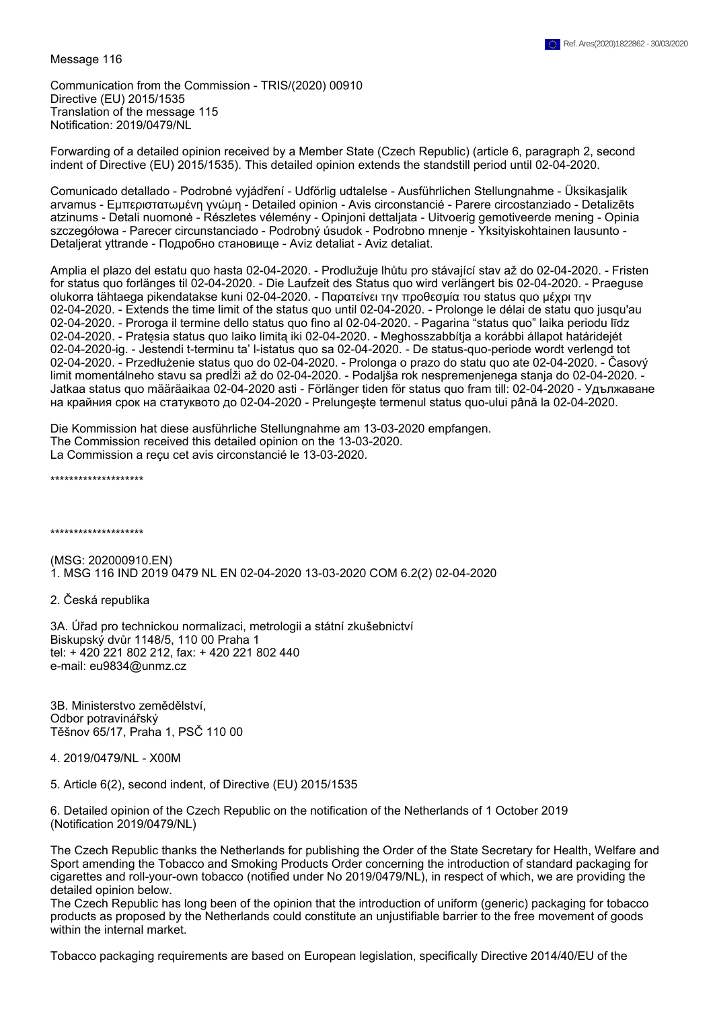Message 116

Communication from the Commission - TRIS/(2020) 00910 Directive (EU) 2015/1535 Translation of the message 115 Notification: 2019/0479/NL

Forwarding of a detailed opinion received by a Member State (Czech Republic) (article 6, paragraph 2, second indent of Directive (EU) 2015/1535). This detailed opinion extends the standstill period until 02-04-2020.

Comunicado detallado - Podrobné vyjádření - Udförlig udtalelse - Ausführlichen Stellungnahme - Üksikasjalik arvamus - Εμπεριστατωμένη γνώμη - Detailed opinion - Avis circonstancié - Parere circostanziado - Detalizēts atzinums - Detali nuomonė - Részletes vélemény - Opinjoni dettaljata - Uitvoerig gemotiveerde mening - Opinia szczegółowa - Parecer circunstanciado - Podrobný úsudok - Podrobno mnenje - Yksityiskohtainen lausunto - Detaljerat yttrande - Подробно становище - Aviz detaliat - Aviz detaliat.

Amplia el plazo del estatu quo hasta 02-04-2020. - Prodlužuje lhůtu pro stávající stav až do 02-04-2020. - Fristen for status quo forlänges til 02-04-2020. - Die Laufzeit des Status quo wird verlängert bis 02-04-2020. - Praeguse olukorra tähtaega pikendatakse kuni 02-04-2020. - Παρατείνει την προθεσμία του status quo μέχρι την 02-04-2020. - Extends the time limit of the status quo until 02-04-2020. - Prolonge le délai de statu quo jusqu'au 02-04-2020. - Proroga il termine dello status quo fino al 02-04-2020. - Pagarina "status quo" laika periodu līdz 02-04-2020. - Pratęsia status quo laiko limitą iki 02-04-2020. - Meghosszabbítja a korábbi állapot határidejét 02-04-2020-ig. - Jestendi t-terminu ta' l-istatus quo sa 02-04-2020. - De status-quo-periode wordt verlengd tot 02-04-2020. - Przedłużenie status quo do 02-04-2020. - Prolonga o prazo do statu quo ate 02-04-2020. - Časový limit momentálneho stavu sa predĺži až do 02-04-2020. - Podaljša rok nespremenjenega stanja do 02-04-2020. - Jatkaa status quo määräaikaa 02-04-2020 asti - Förlänger tiden för status quo fram till: 02-04-2020 - Удължаване на крайния срок на статуквото до 02-04-2020 - Prelungeşte termenul status quo-ului până la 02-04-2020.

Die Kommission hat diese ausführliche Stellungnahme am 13-03-2020 empfangen. The Commission received this detailed opinion on the 13-03-2020. La Commission a reçu cet avis circonstancié le 13-03-2020.

\*\*\*\*\*\*\*\*\*\*\*\*\*\*\*\*\*\*\*\*

\*\*\*\*\*\*\*\*\*\*\*\*\*\*\*\*\*\*\*\*

(MSG: 202000910.EN) 1. MSG 116 IND 2019 0479 NL EN 02-04-2020 13-03-2020 COM 6.2(2) 02-04-2020

2. Česká republika

3A. Úřad pro technickou normalizaci, metrologii a státní zkušebnictví Biskupský dvůr 1148/5, 110 00 Praha 1 tel: + 420 221 802 212, fax: + 420 221 802 440 e-mail: eu9834@unmz.cz

3B. Ministerstvo zemědělství, Odbor potravinářský Těšnov 65/17, Praha 1, PSČ 110 00

4. 2019/0479/NL - X00M

5. Article 6(2), second indent, of Directive (EU) 2015/1535

6. Detailed opinion of the Czech Republic on the notification of the Netherlands of 1 October 2019 (Notification 2019/0479/NL)

The Czech Republic thanks the Netherlands for publishing the Order of the State Secretary for Health, Welfare and Sport amending the Tobacco and Smoking Products Order concerning the introduction of standard packaging for cigarettes and roll-your-own tobacco (notified under No 2019/0479/NL), in respect of which, we are providing the detailed opinion below.

The Czech Republic has long been of the opinion that the introduction of uniform (generic) packaging for tobacco products as proposed by the Netherlands could constitute an unjustifiable barrier to the free movement of goods within the internal market.

Tobacco packaging requirements are based on European legislation, specifically Directive 2014/40/EU of the